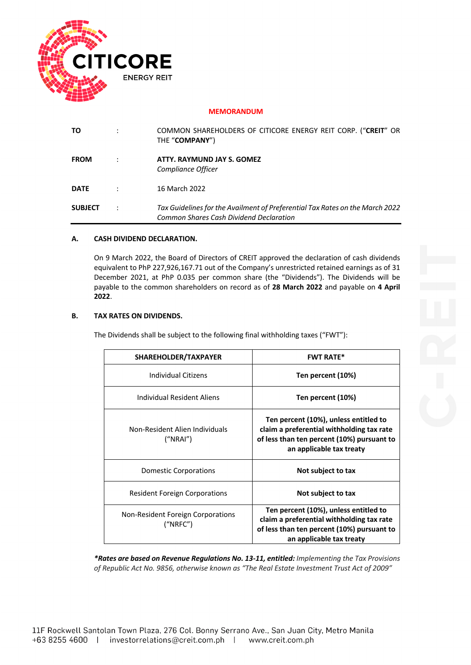

### **MEMORANDUM**

| ΤO             | COMMON SHAREHOLDERS OF CITICORE ENERGY REIT CORP. ("CREIT" OR<br>THE "COMPANY")                                         |
|----------------|-------------------------------------------------------------------------------------------------------------------------|
| <b>FROM</b>    | ATTY. RAYMUND JAY S. GOMEZ<br>Compliance Officer                                                                        |
| <b>DATE</b>    | 16 March 2022                                                                                                           |
| <b>SUBJECT</b> | Tax Guidelines for the Availment of Preferential Tax Rates on the March 2022<br>Common Shares Cash Dividend Declaration |

## **A. CASH DIVIDEND DECLARATION.**

On 9 March 2022, the Board of Directors of CREIT approved the declaration of cash dividends equivalent to PhP 227,926,167.71 out of the Company's unrestricted retained earnings as of 31 December 2021, at PhP 0.035 per common share (the "Dividends"). The Dividends will be payable to the common shareholders on record as of **28 March 2022** and payable on **4 April 2022**.

#### **B. TAX RATES ON DIVIDENDS.**

The Dividends shall be subject to the following final withholding taxes ("FWT"):

| SHAREHOLDER/TAXPAYER                          | <b>FWT RATE*</b>                                                                                                                                             |  |  |  |
|-----------------------------------------------|--------------------------------------------------------------------------------------------------------------------------------------------------------------|--|--|--|
| Individual Citizens                           | Ten percent (10%)                                                                                                                                            |  |  |  |
| Individual Resident Aliens                    | Ten percent (10%)                                                                                                                                            |  |  |  |
| Non-Resident Alien Individuals<br>("NRAI")    | Ten percent (10%), unless entitled to<br>claim a preferential withholding tax rate<br>of less than ten percent (10%) pursuant to<br>an applicable tax treaty |  |  |  |
| Domestic Corporations                         | Not subject to tax                                                                                                                                           |  |  |  |
| <b>Resident Foreign Corporations</b>          | Not subject to tax                                                                                                                                           |  |  |  |
| Non-Resident Foreign Corporations<br>("NRFC") | Ten percent (10%), unless entitled to<br>claim a preferential withholding tax rate<br>of less than ten percent (10%) pursuant to<br>an applicable tax treaty |  |  |  |

*\*Rates are based on Revenue Regulations No. 13-11, entitled: Implementing the Tax Provisions of Republic Act No. 9856, otherwise known as "The Real Estate Investment Trust Act of 2009"*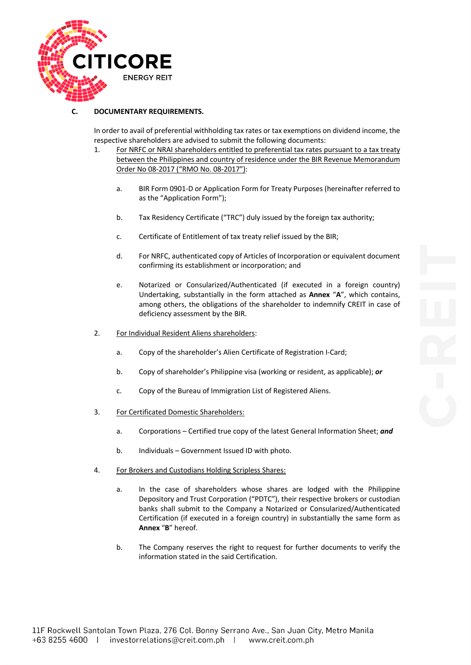

### **C. DOCUMENTARY REQUIREMENTS.**

In order to avail of preferential withholding tax rates or tax exemptions on dividend income, the respective shareholders are advised to submit the following documents:

- 1. For NRFC or NRAI shareholders entitled to preferential tax rates pursuant to a tax treaty between the Philippines and country of residence under the BIR Revenue Memorandum Order No 08-2017 ("RMO No. 08-2017"):
	- a. BIR Form 0901-D or Application Form for Treaty Purposes (hereinafter referred to as the "Application Form");
	- b. Tax Residency Certificate ("TRC") duly issued by the foreign tax authority;
	- c. Certificate of Entitlement of tax treaty relief issued by the BIR;
	- d. For NRFC, authenticated copy of Articles of Incorporation or equivalent document confirming its establishment or incorporation; and
	- e. Notarized or Consularized/Authenticated (if executed in a foreign country) Undertaking, substantially in the form attached as **Annex** "**A**", which contains, among others, the obligations of the shareholder to indemnify CREIT in case of deficiency assessment by the BIR.
- 2. For Individual Resident Aliens shareholders:
	- a. Copy of the shareholder's Alien Certificate of Registration I-Card;
	- b. Copy of shareholder's Philippine visa (working or resident, as applicable); *or*
	- c. Copy of the Bureau of Immigration List of Registered Aliens.
- 3. For Certificated Domestic Shareholders:
	- a. Corporations Certified true copy of the latest General Information Sheet; *and*
	- b. Individuals Government Issued ID with photo.
- 4. For Brokers and Custodians Holding Scripless Shares:
	- a. In the case of shareholders whose shares are lodged with the Philippine Depository and Trust Corporation ("PDTC"), their respective brokers or custodian banks shall submit to the Company a Notarized or Consularized/Authenticated Certification (if executed in a foreign country) in substantially the same form as **Annex** "**B**" hereof.
	- b. The Company reserves the right to request for further documents to verify the information stated in the said Certification.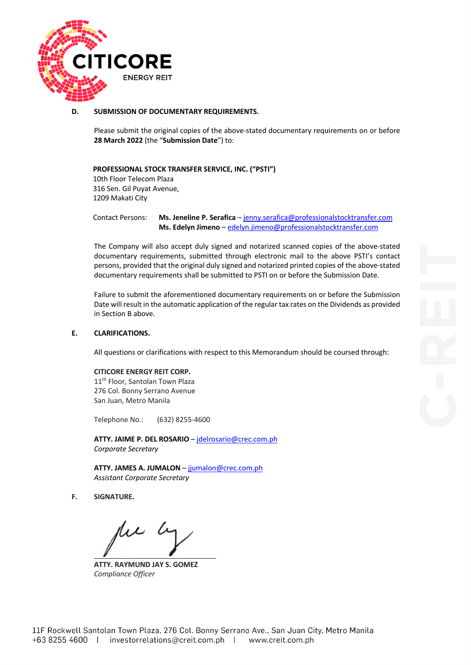

**D. SUBMISSION OF DOCUMENTARY REQUIREMENTS.**

Please submit the original copies of the above-stated documentary requirements on or before **28 March 2022** (the "**Submission Date**") to:

**PROFESSIONAL STOCK TRANSFER SERVICE, INC. ("PSTI")**

10th Floor Telecom Plaza 316 Sen. Gil Puyat Avenue, 1209 Makati City

Contact Persons: **Ms. Jeneline P. Serafica** – jenny.serafica@professionalstocktransfer.com  **Ms. Edelyn Jimeno** – edelyn.jimeno@professionalstocktransfer.com

The Company will also accept duly signed and notarized scanned copies of the above-stated documentary requirements, submitted through electronic mail to the above PSTI's contact persons, provided that the original duly signed and notarized printed copies of the above-stated documentary requirements shall be submitted to PSTI on or before the Submission Date.

Failure to submit the aforementioned documentary requirements on or before the Submission Date will result in the automatic application of the regular tax rates on the Dividends as provided in Section B above.

#### **E. CLARIFICATIONS.**

All questions or clarifications with respect to this Memorandum should be coursed through:

#### **CITICORE ENERGY REIT CORP.**

11<sup>th</sup> Floor, Santolan Town Plaza 276 Col. Bonny Serrano Avenue San Juan, Metro Manila

Telephone No.: (632) 8255-4600

**ATTY. JAIME P. DEL ROSARIO** – jdelrosario@crec.com.ph *Corporate Secretary*

**ATTY. JAMES A. JUMALON** – jjumalon@crec.com.ph *Assistant Corporate Secretary*

**F. SIGNATURE.**

 $\blacksquare$ 

**ATTY. RAYMUND JAY S. GOMEZ** *Compliance Officer*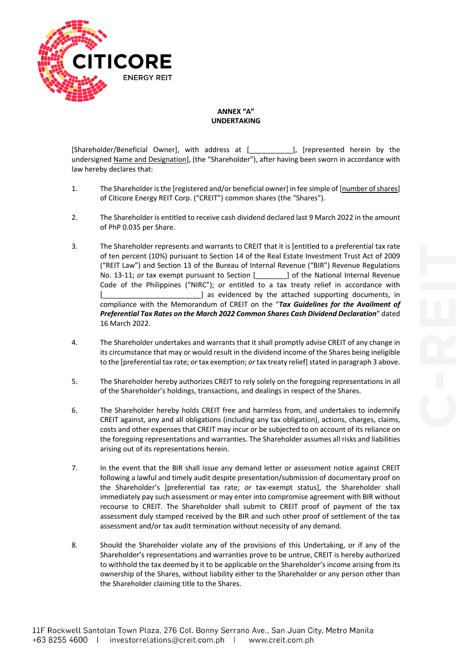

**ANNEX "A" UNDERTAKING**

[Shareholder/Beneficial Owner], with address at [\_\_\_\_\_\_\_\_\_\_\_], [represented herein by the undersigned Name and Designation], (the "Shareholder"), after having been sworn in accordance with law hereby declares that:

- 1. The Shareholder is the [registered and/or beneficial owner] in fee simple of [number of shares] of Citicore Energy REIT Corp. ("CREIT") common shares (the "Shares").
- 2. The Shareholder is entitled to receive cash dividend declared last 9 March 2022 in the amount of PhP 0.035 per Share.
- 3. The Shareholder represents and warrants to CREIT that it is [entitled to a preferential tax rate of ten percent (10%) pursuant to Section 14 of the Real Estate Investment Trust Act of 2009 ("REIT Law") and Section 13 of the Bureau of Internal Revenue ("BIR") Revenue Regulations No. 13-11; *or* tax exempt pursuant to Section [\_\_\_\_\_\_\_\_] of the National Internal Revenue Code of the Philippines ("NIRC"); *or* entitled to a tax treaty relief in accordance with ] as evidenced by the attached supporting documents, in compliance with the Memorandum of CREIT on the "*Tax Guidelines for the Availment of Preferential Tax Rates on the March 2022 Common Shares Cash Dividend Declaration*" dated 16 March 2022.
- 4. The Shareholder undertakes and warrants that it shall promptly advise CREIT of any change in its circumstance that may or would result in the dividend income of the Shares being ineligible to the [preferential tax rate; *or* tax exemption; *or* tax treaty relief] stated in paragraph 3 above.
- 5. The Shareholder hereby authorizes CREIT to rely solely on the foregoing representations in all of the Shareholder's holdings, transactions, and dealings in respect of the Shares.
- 6. The Shareholder hereby holds CREIT free and harmless from, and undertakes to indemnify CREIT against, any and all obligations (including any tax obligation), actions, charges, claims, costs and other expenses that CREIT may incur or be subjected to on account of its reliance on the foregoing representations and warranties. The Shareholder assumes all risks and liabilities arising out of its representations herein.
- 7. In the event that the BIR shall issue any demand letter or assessment notice against CREIT following a lawful and timely audit despite presentation/submission of documentary proof on the Shareholder's [preferential tax rate; *or* tax-exempt status], the Shareholder shall immediately pay such assessment or may enter into compromise agreement with BIR without recourse to CREIT. The Shareholder shall submit to CREIT proof of payment of the tax assessment duly stamped received by the BIR and such other proof of settlement of the tax assessment and/or tax audit termination without necessity of any demand.
- 8. Should the Shareholder violate any of the provisions of this Undertaking, or if any of the Shareholder's representations and warranties prove to be untrue, CREIT is hereby authorized to withhold the tax deemed by it to be applicable on the Shareholder's income arising from its ownership of the Shares, without liability either to the Shareholder or any person other than the Shareholder claiming title to the Shares.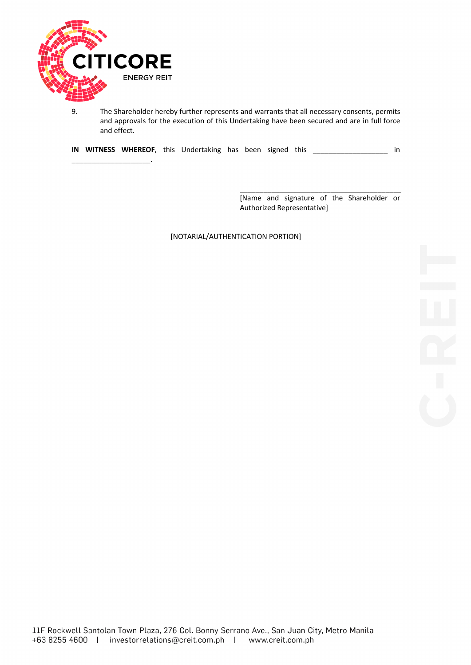

 $\overline{\phantom{a}}$  , where  $\overline{\phantom{a}}$  , where  $\overline{\phantom{a}}$  , where  $\overline{\phantom{a}}$  ,  $\overline{\phantom{a}}$ 

9. The Shareholder hereby further represents and warrants that all necessary consents, permits and approvals for the execution of this Undertaking have been secured and are in full force and effect.

**IN WITNESS WHEREOF**, this Undertaking has been signed this \_\_\_\_\_\_\_\_\_\_\_\_\_\_\_\_\_\_\_ in

[Name and signature of the Shareholder or Authorized Representative]

[NOTARIAL/AUTHENTICATION PORTION]

 $\_$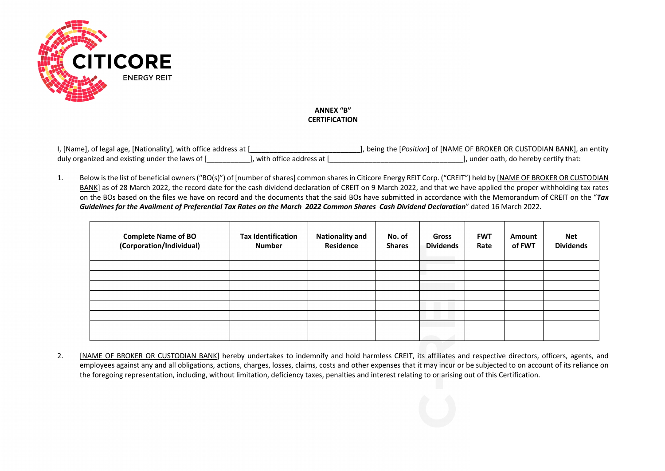

# **ANNEX "B" CERTIFICATION**

| I, [Name], of legal age, [Nationality], with office address at [ |                            | ], being the [ <i>Position</i> ] of [NAME OF BROKER OR CUSTODIAN BANK], an entity |
|------------------------------------------------------------------|----------------------------|-----------------------------------------------------------------------------------|
| duly organized and existing under the laws of [                  | . with office address at [ | l, under oath, do hereby certify that:                                            |

1. Below isthe list of beneficial owners ("BO(s)") of [number of shares] common shares in Citicore Energy REIT Corp. ("CREIT") held by [NAME OF BROKER OR CUSTODIAN BANK] as of 28 March 2022, the record date for the cash dividend declaration of CREIT on 9 March 2022, and that we have applied the proper withholding tax rates on the BOs based on the files we have on record and the documents that the said BOs have submitted in accordance with the Memorandum of CREIT on the "*Tax Guidelines for the Availment of Preferential Tax Rates on the March 2022 Common Shares Cash Dividend Declaration*" dated 16 March 2022.

| <b>Complete Name of BO</b><br>(Corporation/Individual) | <b>Tax Identification</b><br><b>Number</b> | <b>Nationality and</b><br>Residence | No. of<br><b>Shares</b> | <b>Gross</b><br><b>Dividends</b> | <b>FWT</b><br>Rate | Amount<br>of FWT | <b>Net</b><br><b>Dividends</b> |
|--------------------------------------------------------|--------------------------------------------|-------------------------------------|-------------------------|----------------------------------|--------------------|------------------|--------------------------------|
|                                                        |                                            |                                     |                         |                                  |                    |                  |                                |
|                                                        |                                            |                                     |                         |                                  |                    |                  |                                |
|                                                        |                                            |                                     |                         |                                  |                    |                  |                                |
|                                                        |                                            |                                     |                         |                                  |                    |                  |                                |
|                                                        |                                            |                                     |                         |                                  |                    |                  |                                |
|                                                        |                                            |                                     |                         |                                  |                    |                  |                                |
|                                                        |                                            |                                     |                         |                                  |                    |                  |                                |
|                                                        |                                            |                                     |                         |                                  |                    |                  |                                |

2. [NAME OF BROKER OR CUSTODIAN BANK] hereby undertakes to indemnify and hold harmless CREIT, its affiliates and respective directors, officers, agents, and employees against any and all obligations, actions, charges, losses, claims, costs and other expenses that it may incur or be subjected to on account of its reliance on the foregoing representation, including, without limitation, deficiency taxes, penalties and interest relating to or arising out of this Certification.